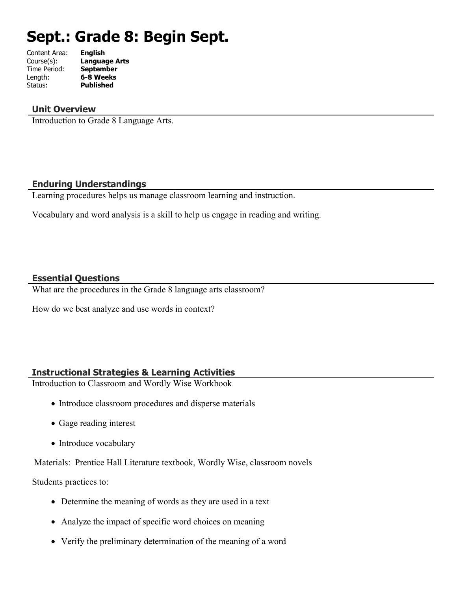# **Sept.: Grade 8: Begin Sept.**

| Content Area: | <b>English</b>       |
|---------------|----------------------|
| Course(s):    | <b>Language Arts</b> |
| Time Period:  | <b>September</b>     |
| Length:       | 6-8 Weeks            |
| Status:       | <b>Published</b>     |
|               |                      |

#### **Unit Overview**

Introduction to Grade 8 Language Arts.

#### **Enduring Understandings**

Learning procedures helps us manage classroom learning and instruction.

Vocabulary and word analysis is a skill to help us engage in reading and writing.

## **Essential Questions**

What are the procedures in the Grade 8 language arts classroom?

How do we best analyze and use words in context?

## **Instructional Strategies & Learning Activities**

Introduction to Classroom and Wordly Wise Workbook

- Introduce classroom procedures and disperse materials
- Gage reading interest
- Introduce vocabulary

Materials: Prentice Hall Literature textbook, Wordly Wise, classroom novels

Students practices to:

- Determine the meaning of words as they are used in a text
- Analyze the impact of specific word choices on meaning
- Verify the preliminary determination of the meaning of a word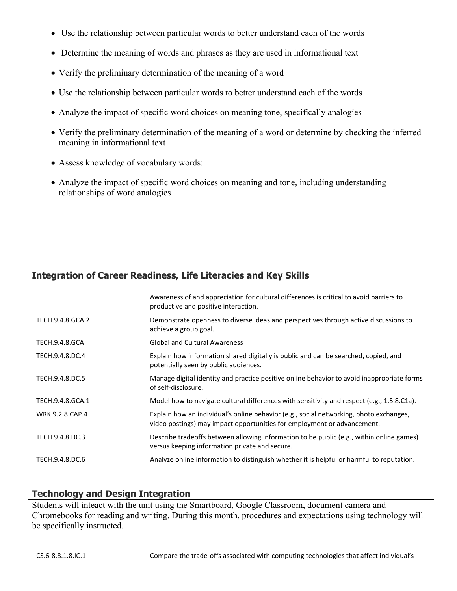- Use the relationship between particular words to better understand each of the words
- Determine the meaning of words and phrases as they are used in informational text
- Verify the preliminary determination of the meaning of a word
- Use the relationship between particular words to better understand each of the words
- Analyze the impact of specific word choices on meaning tone, specifically analogies
- Verify the preliminary determination of the meaning of a word or determine by checking the inferred meaning in informational text
- Assess knowledge of vocabulary words:
- Analyze the impact of specific word choices on meaning and tone, including understanding relationships of word analogies

# **Integration of Career Readiness, Life Literacies and Key Skills**

|                  | Awareness of and appreciation for cultural differences is critical to avoid barriers to<br>productive and positive interaction.                                   |
|------------------|-------------------------------------------------------------------------------------------------------------------------------------------------------------------|
| TECH.9.4.8.GCA.2 | Demonstrate openness to diverse ideas and perspectives through active discussions to<br>achieve a group goal.                                                     |
| TECH.9.4.8.GCA   | <b>Global and Cultural Awareness</b>                                                                                                                              |
| TECH.9.4.8.DC.4  | Explain how information shared digitally is public and can be searched, copied, and<br>potentially seen by public audiences.                                      |
| TECH.9.4.8.DC.5  | Manage digital identity and practice positive online behavior to avoid inappropriate forms<br>of self-disclosure.                                                 |
| TECH.9.4.8.GCA.1 | Model how to navigate cultural differences with sensitivity and respect (e.g., 1.5.8.C1a).                                                                        |
| WRK.9.2.8.CAP.4  | Explain how an individual's online behavior (e.g., social networking, photo exchanges,<br>video postings) may impact opportunities for employment or advancement. |
| TECH.9.4.8.DC.3  | Describe tradeoffs between allowing information to be public (e.g., within online games)<br>versus keeping information private and secure.                        |
| TECH.9.4.8.DC.6  | Analyze online information to distinguish whether it is helpful or harmful to reputation.                                                                         |

# **Technology and Design Integration**

Students will inteact with the unit using the Smartboard, Google Classroom, document camera and Chromebooks for reading and writing. During this month, procedures and expectations using technology will be specifically instructed.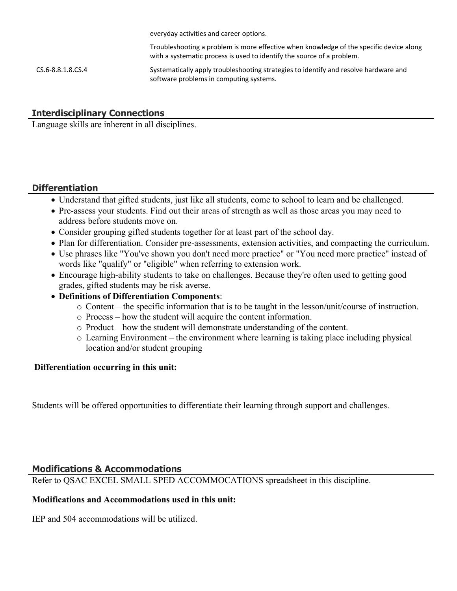everyday activities and career options.

Troubleshooting a problem is more effective when knowledge of the specific device along with a systematic process is used to identify the source of a problem.

CS.6-8.8.1.8.CS.4 Systematically apply troubleshooting strategies to identify and resolve hardware and software problems in computing systems.

## **Interdisciplinary Connections**

Language skills are inherent in all disciplines.

## **Differentiation**

- Understand that gifted students, just like all students, come to school to learn and be challenged.
- Pre-assess your students. Find out their areas of strength as well as those areas you may need to address before students move on.
- Consider grouping gifted students together for at least part of the school day.
- Plan for differentiation. Consider pre-assessments, extension activities, and compacting the curriculum.
- Use phrases like "You've shown you don't need more practice" or "You need more practice" instead of words like "qualify" or "eligible" when referring to extension work.
- Encourage high-ability students to take on challenges. Because they're often used to getting good grades, gifted students may be risk averse.
- **Definitions of Differentiation Components**:
	- o Content the specific information that is to be taught in the lesson/unit/course of instruction.
	- o Process how the student will acquire the content information.
	- o Product how the student will demonstrate understanding of the content.
	- o Learning Environment the environment where learning is taking place including physical location and/or student grouping

## **Differentiation occurring in this unit:**

Students will be offered opportunities to differentiate their learning through support and challenges.

## **Modifications & Accommodations**

Refer to QSAC EXCEL SMALL SPED ACCOMMOCATIONS spreadsheet in this discipline.

#### **Modifications and Accommodations used in this unit:**

IEP and 504 accommodations will be utilized.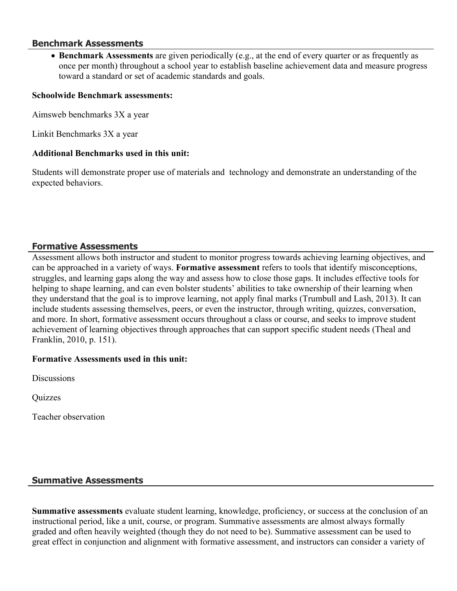#### **Benchmark Assessments**

 **Benchmark Assessments** are given periodically (e.g., at the end of every quarter or as frequently as once per month) throughout a school year to establish baseline achievement data and measure progress toward a standard or set of academic standards and goals.

#### **Schoolwide Benchmark assessments:**

Aimsweb benchmarks 3X a year

Linkit Benchmarks 3X a year

#### **Additional Benchmarks used in this unit:**

Students will demonstrate proper use of materials and technology and demonstrate an understanding of the expected behaviors.

## **Formative Assessments**

Assessment allows both instructor and student to monitor progress towards achieving learning objectives, and can be approached in a variety of ways. **Formative assessment** refers to tools that identify misconceptions, struggles, and learning gaps along the way and assess how to close those gaps. It includes effective tools for helping to shape learning, and can even bolster students' abilities to take ownership of their learning when they understand that the goal is to improve learning, not apply final marks (Trumbull and Lash, 2013). It can include students assessing themselves, peers, or even the instructor, through writing, quizzes, conversation, and more. In short, formative assessment occurs throughout a class or course, and seeks to improve student achievement of learning objectives through approaches that can support specific student needs (Theal and Franklin, 2010, p. 151).

#### **Formative Assessments used in this unit:**

**Discussions** 

Quizzes

Teacher observation

## **Summative Assessments**

**Summative assessments** evaluate student learning, knowledge, proficiency, or success at the conclusion of an instructional period, like a unit, course, or program. Summative assessments are almost always formally graded and often heavily weighted (though they do not need to be). Summative assessment can be used to great effect in conjunction and alignment with formative assessment, and instructors can consider a variety of